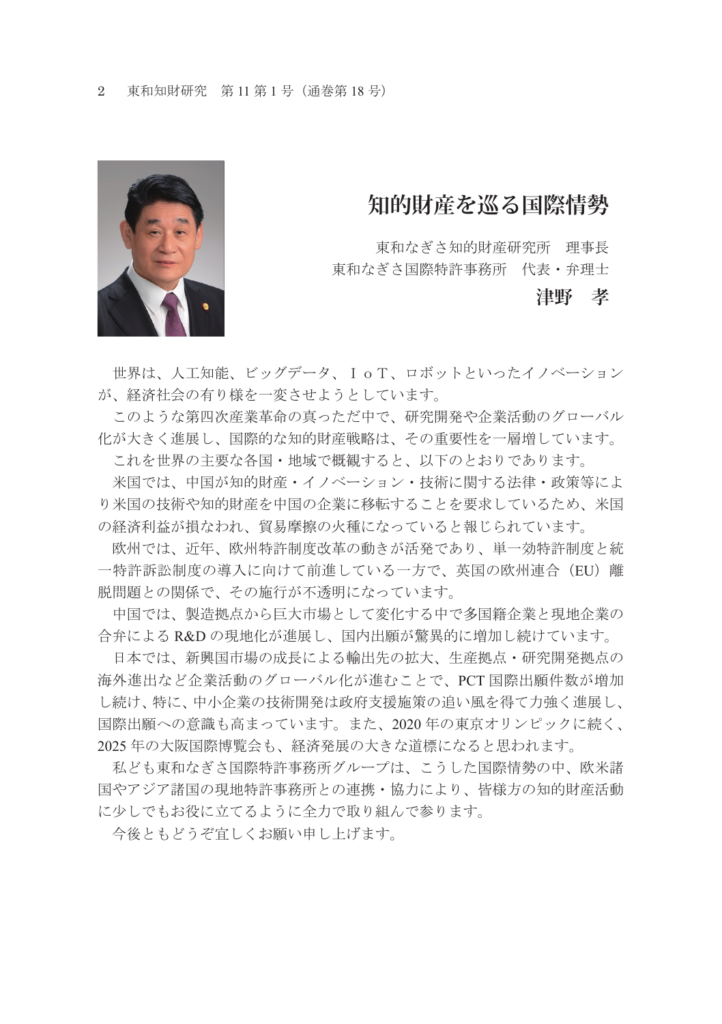

## **知的財産を巡る国際情勢**

東和なぎさ知的財産研究所 理事長 東和なぎさ国際特許事務所 代表・弁理士

## **津野 孝**

 世界は、人工知能、ビッグデータ、IoT、ロボットといったイノベーション が、経済社会の有り様を一変させようとしています。

 このような第四次産業革命の真っただ中で、研究開発や企業活動のグローバル 化が大きく進展し、国際的な知的財産戦略は、その重要性を一層増しています。

これを世界の主要な各国・地域で概観すると、以下のとおりであります。

 米国では、中国が知的財産・イノベーション・技術に関する法律・政策等によ り米国の技術や知的財産を中国の企業に移転することを要求しているため、米国 の経済利益が損なわれ、貿易摩擦の火種になっていると報じられています。

欧州では、近年、欧州特許制度改革の動きが活発であり、単一効特許制度と統 一特許訴訟制度の導入に向けて前進している一方で、英国の欧州連合(EU)離 脱問題との関係で、その施行が不透明になっています。

 中国では、製造拠点から巨大市場として変化する中で多国籍企業と現地企業の 合弁による R&D の現地化が進展し、国内出願が驚異的に増加し続けています。

 日本では、新興国市場の成長による輸出先の拡大、生産拠点・研究開発拠点の 海外進出など企業活動のグローバル化が進むことで、PCT 国際出願件数が増加 し続け、特に、中小企業の技術開発は政府支援施策の追い風を得て力強く進展し、 国際出願への意識も高まっています。また、2020 年の東京オリンピックに続く、 2025 年の大阪国際博覧会も、経済発展の大きな道標になると思われます。

 私ども東和なぎさ国際特許事務所グループは、こうした国際情勢の中、欧米諸 国やアジア諸国の現地特許事務所との連携・協力により、皆様方の知的財産活動 に少しでもお役に立てるように全力で取り組んで参ります。

今後ともどうぞ宜しくお願い申し上げます。